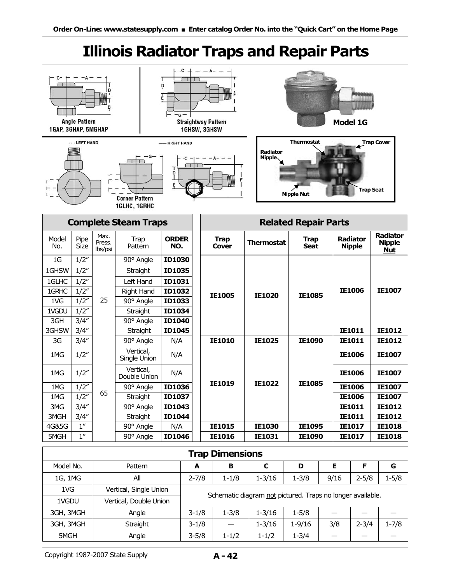# **Illinois Radiator Traps and Repair Parts**

| <b>Angle Pattern</b><br>1GAP, 3GHAP, 5MGHAP<br>LEFT HAND<br><b>Corner Pattern</b><br>1GLHC, 1GRHC        |                                                                                                                  |                           |                                                                                                                                                                                                           | D<br>Ė<br>-G<br>- RIGHT HAND<br>D<br>E                                                                                                                                        | $\cdot c$<br><b>Straightway Pattern</b><br>1GHSW, 3GHSW |                             |                                                 |                          | <b>Radiator</b><br>Nipple.                                                           | <b>Thermostat</b><br><b>Nipple Nut</b>   |           | <b>Model 1G</b><br><b>Trap Seat</b>                                                         | <b>Trap Cover</b>                                                                                  |
|----------------------------------------------------------------------------------------------------------|------------------------------------------------------------------------------------------------------------------|---------------------------|-----------------------------------------------------------------------------------------------------------------------------------------------------------------------------------------------------------|-------------------------------------------------------------------------------------------------------------------------------------------------------------------------------|---------------------------------------------------------|-----------------------------|-------------------------------------------------|--------------------------|--------------------------------------------------------------------------------------|------------------------------------------|-----------|---------------------------------------------------------------------------------------------|----------------------------------------------------------------------------------------------------|
|                                                                                                          |                                                                                                                  |                           | <b>Complete Steam Traps</b>                                                                                                                                                                               |                                                                                                                                                                               |                                                         | <b>Related Repair Parts</b> |                                                 |                          |                                                                                      |                                          |           |                                                                                             |                                                                                                    |
| Model<br>No.                                                                                             | Pipe<br>Size                                                                                                     | Max.<br>Press.<br>lbs/psi | Trap<br>Pattern                                                                                                                                                                                           | <b>ORDER</b><br>NO.                                                                                                                                                           |                                                         |                             | <b>Trap</b><br><b>Cover</b>                     |                          | <b>Thermostat</b>                                                                    | <b>Trap</b><br><b>Seat</b>               |           | Radiator<br><b>Nipple</b>                                                                   | Radiator<br><b>Nipple</b><br><b>Nut</b>                                                            |
| 1 <sub>G</sub><br>1GHSW<br>1GLHC<br>1GRHC<br>1VG<br>1VGDU<br>3GH<br>3GHSW<br>3G<br>1MG<br>1MG<br>1MG     | 1/2''<br>1/2''<br>1/2''<br>1/2''<br>1/2''<br>1/2''<br>3/4''<br>3/4''<br>3/4''<br>1/2''<br>1/2''<br>1/2''<br>1/2" | 25<br>65                  | 90° Angle<br>Straight<br>Left Hand<br><b>Right Hand</b><br>90° Angle<br>Straight<br>90° Angle<br>Straight<br>90° Angle<br>Vertical,<br>Single Union<br>Vertical,<br>Double Union<br>90° Angle<br>Straight | <b>ID1030</b><br><b>ID1035</b><br><b>ID1031</b><br><b>ID1032</b><br>ID1033<br><b>ID1034</b><br><b>ID1040</b><br><b>ID1045</b><br>N/A<br>N/A<br>N/A<br><b>ID1036</b><br>ID1037 |                                                         |                             | <b>IE1005</b><br><b>IE1010</b><br><b>IE1019</b> |                          | <b>IE1020</b><br>IE1025<br><b>IE1022</b>                                             | <b>IE1085</b><br>IE1090<br><b>IE1085</b> |           | <b>IE1006</b><br>IE1011<br><b>IE1011</b><br><b>IE1006</b><br><b>IE1006</b><br><b>IE1006</b> | <b>IE1007</b><br><b>IE1012</b><br><b>IE1012</b><br><b>IE1007</b><br><b>IE1007</b><br><b>IE1007</b> |
| 1MG<br>3MG<br>3MGH<br>4G&5G<br>5MGH                                                                      | 3/4''<br>3/4''<br>1''<br>1''                                                                                     |                           | 90° Angle<br>Straight<br>90° Angle<br>90° Angle                                                                                                                                                           | <b>ID1043</b><br>ID1044<br>N/A<br><b>ID1046</b>                                                                                                                               |                                                         | <b>IE1015</b><br>IE1016     |                                                 |                          | IE1030<br>IE1031                                                                     | IE1095<br>IE1090                         |           | <b>IE1006</b><br>IE1011<br>IE1011<br>IE1017<br>IE1017                                       | <b>IE1007</b><br>IE1012<br>IE1012<br><b>IE1018</b><br><b>IE1018</b>                                |
|                                                                                                          | <b>Trap Dimensions</b>                                                                                           |                           |                                                                                                                                                                                                           |                                                                                                                                                                               |                                                         |                             |                                                 |                          |                                                                                      |                                          |           |                                                                                             |                                                                                                    |
| Model No.                                                                                                |                                                                                                                  |                           | Pattern                                                                                                                                                                                                   |                                                                                                                                                                               |                                                         | A                           | В                                               |                          | $\mathbf c$                                                                          | D                                        | E         | F                                                                                           | G                                                                                                  |
| 1G, 1MG<br>All<br>1VG<br>Vertical, Single Union<br>1VGDU<br>Vertical, Double Union<br>3GH, 3MGH<br>Angle |                                                                                                                  |                           |                                                                                                                                                                                                           | $2 - 7/8$<br>$3-1/8$                                                                                                                                                          |                                                         | $1 - 1/8$<br>$1 - 3/8$      |                                                 | $1 - 3/16$<br>$1 - 3/16$ | $1 - 3/8$<br>Schematic diagram not pictured. Traps no longer available.<br>$1 - 5/8$ | 9/16                                     | $2 - 5/8$ | $1 - 5/8$                                                                                   |                                                                                                    |
| 3GH, 3MGH<br>Straight<br>5MGH<br>Angle                                                                   |                                                                                                                  |                           |                                                                                                                                                                                                           | $3-1/8$<br>$3 - 5/8$                                                                                                                                                          |                                                         | $1 - 1/2$                   |                                                 | $1 - 3/16$<br>$1 - 1/2$  | $1 - 9/16$<br>$1 - 3/4$                                                              | 3/8<br>$\overline{\phantom{0}}$          | $2 - 3/4$ | $1 - 7/8$                                                                                   |                                                                                                    |

$$
A-42
$$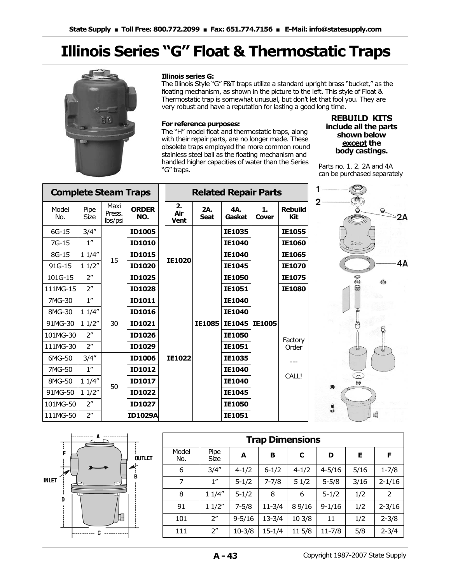# **Illinois Series "G" Float & Thermostatic Traps**



#### **Illinois series G:**

The Illinois Style "G" F&T traps utilize a standard upright brass "bucket," as the floating mechanism, as shown in the picture to the left. This style of Float & Thermostatic trap is somewhat unusual, but don't let that fool you. They are very robust and have a reputation for lasting a good long time.

#### **For reference purposes:**

The "H" model float and thermostatic traps, along with their repair parts, are no longer made. These obsolete traps employed the more common round stainless steel ball as the floating mechanism and handled higher capacities of water than the Series "G" traps.

### **REBUILD KITS include all the parts shown below except the body castings.**

*Parts no. 1, 2, 2A and 4A can be purchased separately* 

| <b>Complete Steam Traps</b> |                     |                           |                     |                          |                    | <b>Related Repair Parts</b> |               |                       |                                                                           |        |
|-----------------------------|---------------------|---------------------------|---------------------|--------------------------|--------------------|-----------------------------|---------------|-----------------------|---------------------------------------------------------------------------|--------|
| Model<br>No.                | Pipe<br><b>Size</b> | Maxi<br>Press.<br>lbs/psi | <b>ORDER</b><br>NO. | 2.<br>Air<br><b>Vent</b> | 2A.<br><b>Seat</b> | 4A.<br>Gasket               | 1.<br>Cover   | <b>Rebuild</b><br>Kit | $\overline{2}$<br>$\check{\mathbf{Q}}$<br>$\mathbf{e}^{-}$<br>$\simeq$ 2A |        |
| $6G-15$                     | 3/4''               |                           | <b>ID1005</b>       |                          |                    | <b>IE1035</b>               |               | <b>IE1055</b>         |                                                                           |        |
| $7G-15$                     | $1^{\prime\prime}$  |                           | <b>ID1010</b>       |                          |                    | IE1040                      |               | IE1060                | Des                                                                       |        |
| 8G-15                       | 11/4"               | 15                        | <b>ID1015</b>       |                          |                    | <b>IE1040</b>               |               | <b>IE1065</b>         |                                                                           |        |
| 91G-15                      | 11/2"               |                           | <b>ID1020</b>       | <b>IE1020</b>            |                    | <b>IE1045</b>               |               | <b>IE1070</b>         | 4Α                                                                        |        |
| 101G-15                     | 2 <sup>n</sup>      |                           |                     | <b>ID1025</b>            |                    |                             | <b>IE1050</b> |                       | IE1075                                                                    | 0<br>€ |
| 111MG-15                    | 2 <sup>''</sup>     |                           | <b>ID1028</b>       |                          |                    | <b>IE1051</b>               |               | <b>IE1080</b>         | 0                                                                         |        |
| 7MG-30                      | $1^{\prime\prime}$  |                           | ID1011              |                          |                    | <b>IE1040</b>               |               |                       |                                                                           |        |
| 8MG-30                      | 11/4"               |                           | <b>ID1016</b>       |                          | <b>IE1085</b>      | <b>IE1040</b>               |               |                       |                                                                           |        |
| 91MG-30                     | 11/2"               | 30                        | ID1021              |                          |                    |                             | <b>IE1045</b> | <b>IE1005</b>         |                                                                           |        |
| 101MG-30                    | 2 <sup>''</sup>     |                           | <b>ID1026</b>       |                          |                    | <b>IE1050</b>               |               | Factory               |                                                                           |        |
| 111MG-30                    | 2 <sup>''</sup>     |                           | ID1029              |                          |                    | <b>IE1051</b>               |               | Order                 | $\mathbb{R}$<br>అ                                                         |        |
| 6MG-50                      | 3/4''               |                           | <b>ID1006</b>       | <b>IE1022</b>            |                    | <b>IE1035</b>               |               |                       |                                                                           |        |
| 7MG-50                      | 1 <sup>''</sup>     | 50                        |                     | ID1012                   |                    |                             | <b>IE1040</b> |                       |                                                                           |        |
| 8MG-50                      | 11/4"               |                           | <b>ID1017</b>       |                          |                    | <b>IE1040</b>               |               | CALL!                 | $\frac{1}{2}$<br>۳                                                        |        |
| 91MG-50                     | 11/2"               |                           |                     | ID1022                   |                    |                             | IE1045        |                       |                                                                           |        |
| 101MG-50                    | 2 <sup>''</sup>     |                           | ID1027              |                          |                    | <b>IE1050</b>               |               |                       | g                                                                         |        |
| 111MG-50                    | 2 <sup>''</sup>     |                           | <b>ID1029A</b>      |                          |                    | IE1051                      |               |                       | Щ                                                                         |        |



| <b>Trap Dimensions</b> |                    |            |            |           |            |      |            |  |  |  |  |  |
|------------------------|--------------------|------------|------------|-----------|------------|------|------------|--|--|--|--|--|
| Model<br>No.           | Pipe<br>Size       | A          | в          | C         | D          | Е    | F          |  |  |  |  |  |
| 6                      | 3/4''              | $4 - 1/2$  | $6 - 1/2$  | $4 - 1/2$ | $4 - 5/16$ | 5/16 | $1 - 7/8$  |  |  |  |  |  |
| 7                      | 1 <sup>''</sup>    | $5 - 1/2$  | $7 - 7/8$  | 51/2      | $5 - 5/8$  | 3/16 | $2 - 1/16$ |  |  |  |  |  |
| 8                      | 11/4"              | $5 - 1/2$  | 8          | 6         | $5 - 1/2$  | 1/2  | 2          |  |  |  |  |  |
| 91                     | 11/2"              | $7 - 5/8$  | $11 - 3/4$ | 8 9/16    | $9 - 1/16$ | 1/2  | $2 - 3/16$ |  |  |  |  |  |
| 101                    | 2 <sup>n</sup>     | $9 - 5/16$ | $13 - 3/4$ | 10 3/8    | 11         | 1/2  | $2 - 3/8$  |  |  |  |  |  |
| 111                    | $2^{\prime\prime}$ | $10 - 3/8$ | $15 - 1/4$ | 11 5/8    | $11 - 7/8$ | 5/8  | $2 - 3/4$  |  |  |  |  |  |